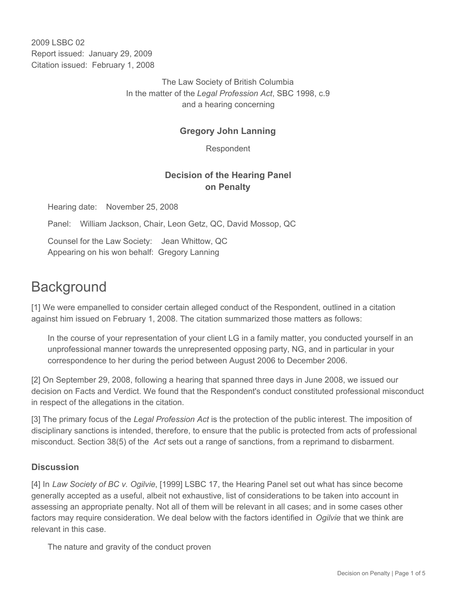2009 LSBC 02 Report issued: January 29, 2009 Citation issued: February 1, 2008

> The Law Society of British Columbia In the matter of the *Legal Profession Act*, SBC 1998, c.9 and a hearing concerning

## **Gregory John Lanning**

Respondent

## **Decision of the Hearing Panel on Penalty**

Hearing date: November 25, 2008

Panel: William Jackson, Chair, Leon Getz, QC, David Mossop, QC

Counsel for the Law Society: Jean Whittow, QC Appearing on his won behalf: Gregory Lanning

# **Background**

[1] We were empanelled to consider certain alleged conduct of the Respondent, outlined in a citation against him issued on February 1, 2008. The citation summarized those matters as follows:

In the course of your representation of your client LG in a family matter, you conducted yourself in an unprofessional manner towards the unrepresented opposing party, NG, and in particular in your correspondence to her during the period between August 2006 to December 2006.

[2] On September 29, 2008, following a hearing that spanned three days in June 2008, we issued our decision on Facts and Verdict. We found that the Respondent's conduct constituted professional misconduct in respect of the allegations in the citation.

[3] The primary focus of the *Legal Profession Act* is the protection of the public interest. The imposition of disciplinary sanctions is intended, therefore, to ensure that the public is protected from acts of professional misconduct. Section 38(5) of the *Act* sets out a range of sanctions, from a reprimand to disbarment.

#### **Discussion**

[4] In *Law Society of BC v. Ogilvie*, [1999] LSBC 17, the Hearing Panel set out what has since become generally accepted as a useful, albeit not exhaustive, list of considerations to be taken into account in assessing an appropriate penalty. Not all of them will be relevant in all cases; and in some cases other factors may require consideration. We deal below with the factors identified in *Ogilvie* that we think are relevant in this case.

The nature and gravity of the conduct proven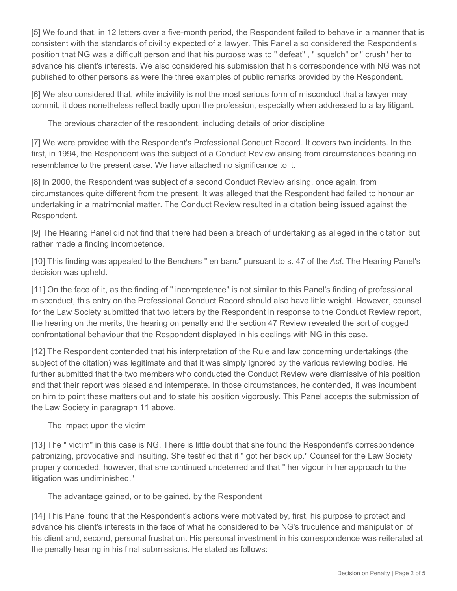[5] We found that, in 12 letters over a five-month period, the Respondent failed to behave in a manner that is consistent with the standards of civility expected of a lawyer. This Panel also considered the Respondent's position that NG was a difficult person and that his purpose was to " defeat" , " squelch" or " crush" her to advance his client's interests. We also considered his submission that his correspondence with NG was not published to other persons as were the three examples of public remarks provided by the Respondent.

[6] We also considered that, while incivility is not the most serious form of misconduct that a lawyer may commit, it does nonetheless reflect badly upon the profession, especially when addressed to a lay litigant.

The previous character of the respondent, including details of prior discipline

[7] We were provided with the Respondent's Professional Conduct Record. It covers two incidents. In the first, in 1994, the Respondent was the subject of a Conduct Review arising from circumstances bearing no resemblance to the present case. We have attached no significance to it.

[8] In 2000, the Respondent was subject of a second Conduct Review arising, once again, from circumstances quite different from the present. It was alleged that the Respondent had failed to honour an undertaking in a matrimonial matter. The Conduct Review resulted in a citation being issued against the Respondent.

[9] The Hearing Panel did not find that there had been a breach of undertaking as alleged in the citation but rather made a finding incompetence.

[10] This finding was appealed to the Benchers " en banc" pursuant to s. 47 of the *Act*. The Hearing Panel's decision was upheld.

[11] On the face of it, as the finding of " incompetence" is not similar to this Panel's finding of professional misconduct, this entry on the Professional Conduct Record should also have little weight. However, counsel for the Law Society submitted that two letters by the Respondent in response to the Conduct Review report, the hearing on the merits, the hearing on penalty and the section 47 Review revealed the sort of dogged confrontational behaviour that the Respondent displayed in his dealings with NG in this case.

[12] The Respondent contended that his interpretation of the Rule and law concerning undertakings (the subject of the citation) was legitimate and that it was simply ignored by the various reviewing bodies. He further submitted that the two members who conducted the Conduct Review were dismissive of his position and that their report was biased and intemperate. In those circumstances, he contended, it was incumbent on him to point these matters out and to state his position vigorously. This Panel accepts the submission of the Law Society in paragraph 11 above.

The impact upon the victim

[13] The " victim" in this case is NG. There is little doubt that she found the Respondent's correspondence patronizing, provocative and insulting. She testified that it " got her back up." Counsel for the Law Society properly conceded, however, that she continued undeterred and that " her vigour in her approach to the litigation was undiminished."

The advantage gained, or to be gained, by the Respondent

[14] This Panel found that the Respondent's actions were motivated by, first, his purpose to protect and advance his client's interests in the face of what he considered to be NG's truculence and manipulation of his client and, second, personal frustration. His personal investment in his correspondence was reiterated at the penalty hearing in his final submissions. He stated as follows: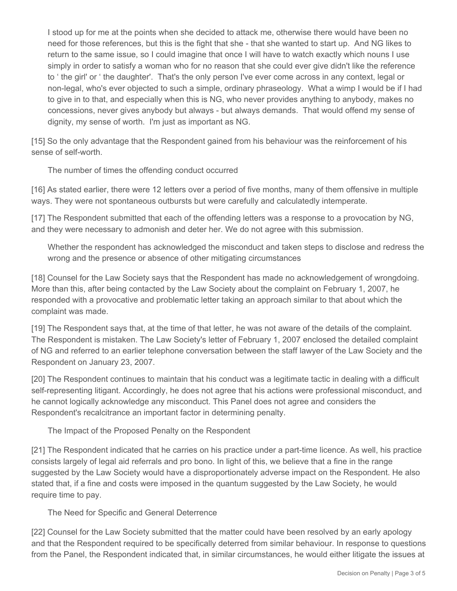I stood up for me at the points when she decided to attack me, otherwise there would have been no need for those references, but this is the fight that she - that she wanted to start up. And NG likes to return to the same issue, so I could imagine that once I will have to watch exactly which nouns I use simply in order to satisfy a woman who for no reason that she could ever give didn't like the reference to ' the girl' or ' the daughter'. That's the only person I've ever come across in any context, legal or non-legal, who's ever objected to such a simple, ordinary phraseology. What a wimp I would be if I had to give in to that, and especially when this is NG, who never provides anything to anybody, makes no concessions, never gives anybody but always - but always demands. That would offend my sense of dignity, my sense of worth. I'm just as important as NG.

[15] So the only advantage that the Respondent gained from his behaviour was the reinforcement of his sense of self-worth.

The number of times the offending conduct occurred

[16] As stated earlier, there were 12 letters over a period of five months, many of them offensive in multiple ways. They were not spontaneous outbursts but were carefully and calculatedly intemperate.

[17] The Respondent submitted that each of the offending letters was a response to a provocation by NG, and they were necessary to admonish and deter her. We do not agree with this submission.

Whether the respondent has acknowledged the misconduct and taken steps to disclose and redress the wrong and the presence or absence of other mitigating circumstances

[18] Counsel for the Law Society says that the Respondent has made no acknowledgement of wrongdoing. More than this, after being contacted by the Law Society about the complaint on February 1, 2007, he responded with a provocative and problematic letter taking an approach similar to that about which the complaint was made.

[19] The Respondent says that, at the time of that letter, he was not aware of the details of the complaint. The Respondent is mistaken. The Law Society's letter of February 1, 2007 enclosed the detailed complaint of NG and referred to an earlier telephone conversation between the staff lawyer of the Law Society and the Respondent on January 23, 2007.

[20] The Respondent continues to maintain that his conduct was a legitimate tactic in dealing with a difficult self-representing litigant. Accordingly, he does not agree that his actions were professional misconduct, and he cannot logically acknowledge any misconduct. This Panel does not agree and considers the Respondent's recalcitrance an important factor in determining penalty.

The Impact of the Proposed Penalty on the Respondent

[21] The Respondent indicated that he carries on his practice under a part-time licence. As well, his practice consists largely of legal aid referrals and pro bono. In light of this, we believe that a fine in the range suggested by the Law Society would have a disproportionately adverse impact on the Respondent. He also stated that, if a fine and costs were imposed in the quantum suggested by the Law Society, he would require time to pay.

The Need for Specific and General Deterrence

[22] Counsel for the Law Society submitted that the matter could have been resolved by an early apology and that the Respondent required to be specifically deterred from similar behaviour. In response to questions from the Panel, the Respondent indicated that, in similar circumstances, he would either litigate the issues at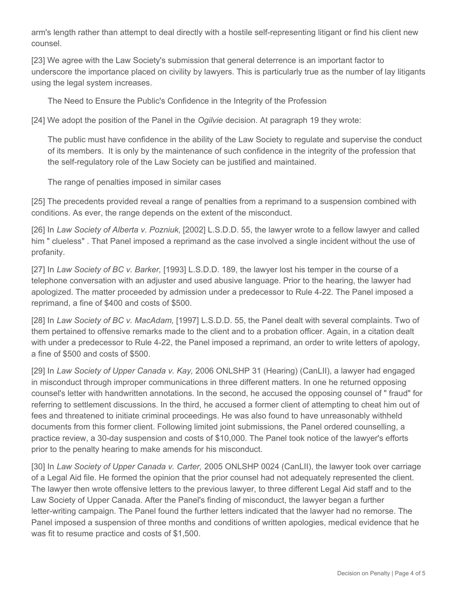arm's length rather than attempt to deal directly with a hostile self-representing litigant or find his client new counsel.

[23] We agree with the Law Society's submission that general deterrence is an important factor to underscore the importance placed on civility by lawyers. This is particularly true as the number of lay litigants using the legal system increases.

The Need to Ensure the Public's Confidence in the Integrity of the Profession

[24] We adopt the position of the Panel in the *Ogilvie* decision. At paragraph 19 they wrote:

The public must have confidence in the ability of the Law Society to regulate and supervise the conduct of its members. It is only by the maintenance of such confidence in the integrity of the profession that the self-regulatory role of the Law Society can be justified and maintained.

The range of penalties imposed in similar cases

[25] The precedents provided reveal a range of penalties from a reprimand to a suspension combined with conditions. As ever, the range depends on the extent of the misconduct.

[26] In *Law Society of Alberta v. Pozniuk*, [2002] L.S.D.D. 55, the lawyer wrote to a fellow lawyer and called him " clueless" . That Panel imposed a reprimand as the case involved a single incident without the use of profanity.

[27] In *Law Society of BC v. Barker,* [1993] L.S.D.D. 189, the lawyer lost his temper in the course of a telephone conversation with an adjuster and used abusive language. Prior to the hearing, the lawyer had apologized. The matter proceeded by admission under a predecessor to Rule 4-22. The Panel imposed a reprimand, a fine of \$400 and costs of \$500.

[28] In *Law Society of BC v. MacAdam*, [1997] L.S.D.D. 55, the Panel dealt with several complaints. Two of them pertained to offensive remarks made to the client and to a probation officer. Again, in a citation dealt with under a predecessor to Rule 4-22, the Panel imposed a reprimand, an order to write letters of apology, a fine of \$500 and costs of \$500.

[29] In *Law Society of Upper Canada v. Kay,* 2006 ONLSHP 31 (Hearing) (CanLII), a lawyer had engaged in misconduct through improper communications in three different matters. In one he returned opposing counsel's letter with handwritten annotations. In the second, he accused the opposing counsel of " fraud" for referring to settlement discussions. In the third, he accused a former client of attempting to cheat him out of fees and threatened to initiate criminal proceedings. He was also found to have unreasonably withheld documents from this former client. Following limited joint submissions, the Panel ordered counselling, a practice review, a 30-day suspension and costs of \$10,000. The Panel took notice of the lawyer's efforts prior to the penalty hearing to make amends for his misconduct.

[30] In *Law Society of Upper Canada v. Carter,* 2005 ONLSHP 0024 (CanLII), the lawyer took over carriage of a Legal Aid file. He formed the opinion that the prior counsel had not adequately represented the client. The lawyer then wrote offensive letters to the previous lawyer, to three different Legal Aid staff and to the Law Society of Upper Canada. After the Panel's finding of misconduct, the lawyer began a further letter-writing campaign. The Panel found the further letters indicated that the lawyer had no remorse. The Panel imposed a suspension of three months and conditions of written apologies, medical evidence that he was fit to resume practice and costs of \$1,500.